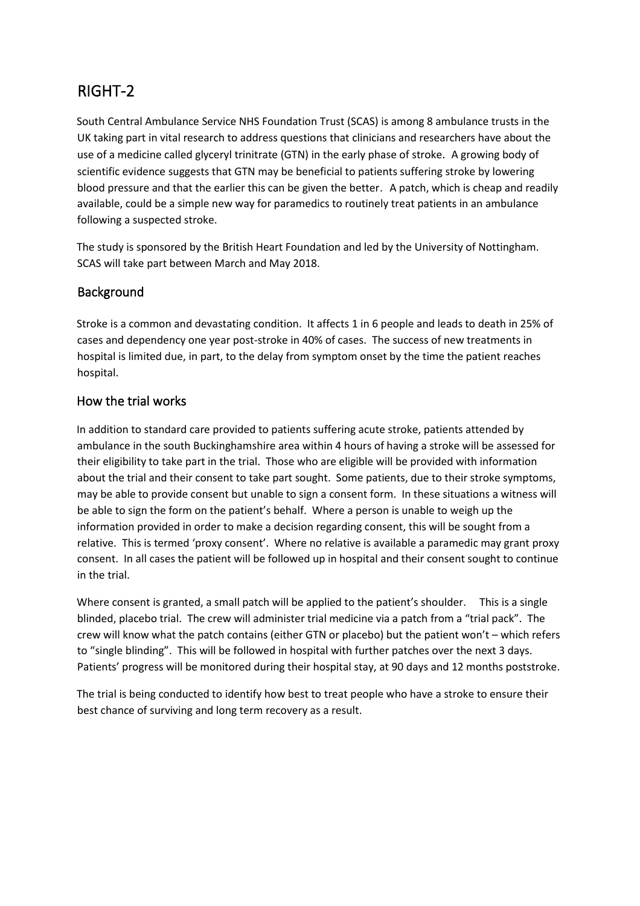## RIGHT-2

South Central Ambulance Service NHS Foundation Trust (SCAS) is among 8 ambulance trusts in the UK taking part in vital research to address questions that clinicians and researchers have about the use of a medicine called glyceryl trinitrate (GTN) in the early phase of stroke. A growing body of scientific evidence suggests that GTN may be beneficial to patients suffering stroke by lowering blood pressure and that the earlier this can be given the better. A patch, which is cheap and readily available, could be a simple new way for paramedics to routinely treat patients in an ambulance following a suspected stroke.

The study is sponsored by the British Heart Foundation and led by the University of Nottingham. SCAS will take part between March and May 2018.

## Background

Stroke is a common and devastating condition. It affects 1 in 6 people and leads to death in 25% of cases and dependency one year post-stroke in 40% of cases. The success of new treatments in hospital is limited due, in part, to the delay from symptom onset by the time the patient reaches hospital.

## How the trial works

In addition to standard care provided to patients suffering acute stroke, patients attended by ambulance in the south Buckinghamshire area within 4 hours of having a stroke will be assessed for their eligibility to take part in the trial. Those who are eligible will be provided with information about the trial and their consent to take part sought. Some patients, due to their stroke symptoms, may be able to provide consent but unable to sign a consent form. In these situations a witness will be able to sign the form on the patient's behalf. Where a person is unable to weigh up the information provided in order to make a decision regarding consent, this will be sought from a relative. This is termed 'proxy consent'. Where no relative is available a paramedic may grant proxy consent. In all cases the patient will be followed up in hospital and their consent sought to continue in the trial.

Where consent is granted, a small patch will be applied to the patient's shoulder. This is a single blinded, placebo trial. The crew will administer trial medicine via a patch from a "trial pack". The crew will know what the patch contains (either GTN or placebo) but the patient won't – which refers to "single blinding". This will be followed in hospital with further patches over the next 3 days. Patients' progress will be monitored during their hospital stay, at 90 days and 12 months poststroke.

The trial is being conducted to identify how best to treat people who have a stroke to ensure their best chance of surviving and long term recovery as a result.